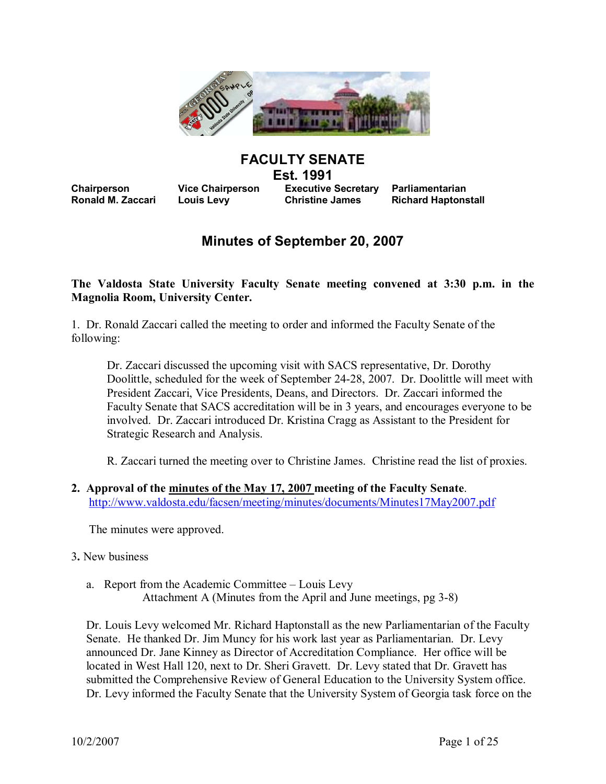

# **FACULTY SENATE**

**Est. 1991** 

**Chairperson Vice Chairperson Executive Secretary Parliamentarian Ronald M. Zaccari Louis Levy Christine James Richard Haptonstall** 

# **Minutes of September 20, 2007**

**The Valdosta State University Faculty Senate meeting convened at 3:30 p.m. in the Magnolia Room, University Center.**

1. Dr. Ronald Zaccari called the meeting to order and informed the Faculty Senate of the following:

Dr. Zaccari discussed the upcoming visit with SACS representative, Dr. Dorothy Doolittle, scheduled for the week of September 2428, 2007. Dr. Doolittle will meet with President Zaccari, Vice Presidents, Deans, and Directors. Dr. Zaccari informed the Faculty Senate that SACS accreditation will be in 3 years, and encourages everyone to be involved. Dr. Zaccari introduced Dr. Kristina Cragg as Assistant to the President for Strategic Research and Analysis.

R. Zaccari turned the meeting over to Christine James. Christine read the list of proxies.

**2. Approval of the minutes of the May 17, 2007 meeting of the Faculty Senate**. <http://www.valdosta.edu/facsen/meeting/minutes/documents/Minutes17May2007.pdf>

The minutes were approved.

- 3**.** New business
	- a. Report from the Academic Committee Louis Levy Attachment A (Minutes from the April and June meetings, pg 3-8)

Dr. Louis Levy welcomed Mr. Richard Haptonstall as the new Parliamentarian of the Faculty Senate. He thanked Dr. Jim Muncy for his work last year as Parliamentarian. Dr. Levy announced Dr. Jane Kinney as Director of Accreditation Compliance. Her office will be located in West Hall 120, next to Dr. Sheri Gravett. Dr. Levy stated that Dr. Gravett has submitted the Comprehensive Review of General Education to the University System office. Dr. Levy informed the Faculty Senate that the University System of Georgia task force on the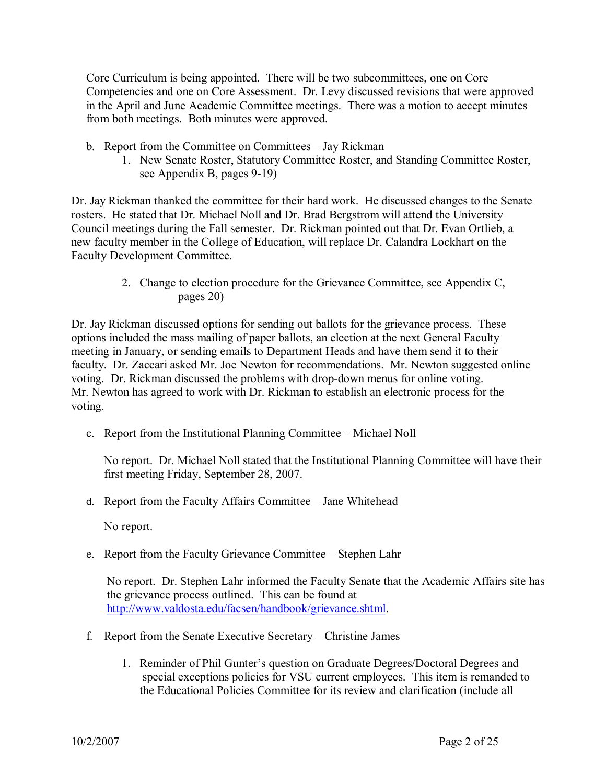Core Curriculum is being appointed. There will be two subcommittees, one on Core Competencies and one on Core Assessment. Dr. Levy discussed revisions that were approved in the April and June Academic Committee meetings. There was a motion to accept minutes from both meetings. Both minutes were approved.

- b. Report from the Committee on Committees Jay Rickman
	- 1. New Senate Roster, Statutory Committee Roster, and Standing Committee Roster, see Appendix B, pages 9-19)

Dr. Jay Rickman thanked the committee for their hard work. He discussed changes to the Senate rosters. He stated that Dr. Michael Noll and Dr. Brad Bergstrom will attend the University Council meetings during the Fall semester. Dr. Rickman pointed out that Dr. Evan Ortlieb, a new faculty member in the College of Education, will replace Dr. Calandra Lockhart on the Faculty Development Committee.

> 2. Change to election procedure for the Grievance Committee, see Appendix C, pages 20)

Dr. Jay Rickman discussed options for sending out ballots for the grievance process. These options included the mass mailing of paper ballots, an election at the next General Faculty meeting in January, or sending emails to Department Heads and have them send it to their faculty. Dr. Zaccari asked Mr. Joe Newton for recommendations. Mr. Newton suggested online voting. Dr. Rickman discussed the problems with drop-down menus for online voting. Mr. Newton has agreed to work with Dr. Rickman to establish an electronic process for the voting.

c. Report from the Institutional Planning Committee – Michael Noll

No report. Dr. Michael Noll stated that the Institutional Planning Committee will have their first meeting Friday, September 28, 2007.

d. Report from the Faculty Affairs Committee – Jane Whitehead

No report.

e. Report from the Faculty Grievance Committee – Stephen Lahr

No report. Dr. Stephen Lahr informed the Faculty Senate that the Academic Affairs site has the grievance process outlined. This can be found at <http://www.valdosta.edu/facsen/handbook/grievance.shtml>.

- f. Report from the Senate Executive Secretary Christine James
	- 1. Reminder of Phil Gunter's question on Graduate Degrees/Doctoral Degrees and special exceptions policies for VSU current employees. This item is remanded to the Educational Policies Committee for its review and clarification (include all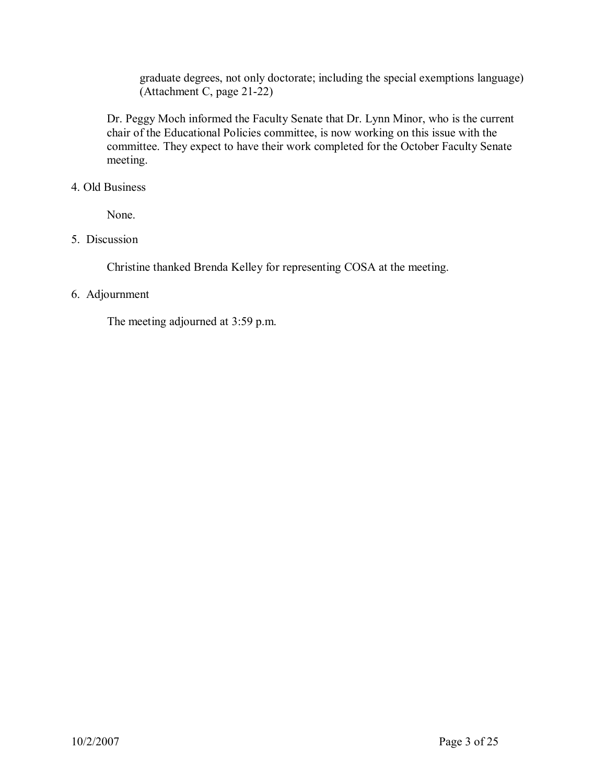graduate degrees, not only doctorate; including the special exemptions language)  $(Attachment C, page 21-22)$ 

Dr. Peggy Moch informed the Faculty Senate that Dr. Lynn Minor, who is the current chair of the Educational Policies committee, is now working on this issue with the committee. They expect to have their work completed for the October Faculty Senate meeting.

# 4. Old Business

None.

# 5. Discussion

Christine thanked Brenda Kelley for representing COSA at the meeting.

# 6. Adjournment

The meeting adjourned at 3:59 p.m.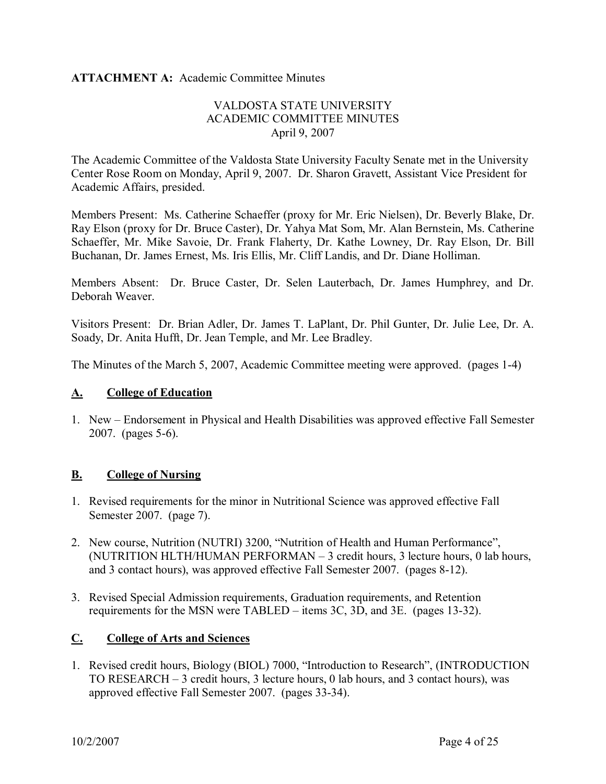# **ATTACHMENT A:** Academic Committee Minutes

# VALDOSTA STATE UNIVERSITY ACADEMIC COMMITTEE MINUTES April 9, 2007

The Academic Committee of the Valdosta State University Faculty Senate met in the University Center Rose Room on Monday, April 9, 2007. Dr. Sharon Gravett, Assistant Vice President for Academic Affairs, presided.

Members Present: Ms. Catherine Schaeffer (proxy for Mr. Eric Nielsen), Dr. Beverly Blake, Dr. Ray Elson (proxy for Dr. Bruce Caster), Dr. Yahya Mat Som, Mr. Alan Bernstein, Ms. Catherine Members Present: Ms. Catherine Schaeffer (proxy for Mr. Eric Nielsen), Dr. Beverly Blake, Dr.<br>Ray Elson (proxy for Dr. Bruce Caster), Dr. Yahya Mat Som, Mr. Alan Bernstein, Ms. Catherine<br>Schaeffer, Mr. Mike Savoie, Dr. Fr Buchanan, Dr. James Ernest, Ms. Iris Ellis, Mr. Cliff Landis, and Dr. Diane Holliman.

Members Absent: Dr. Bruce Caster, Dr. Selen Lauterbach, Dr. James Humphrey, and Dr. Deborah Weaver.

Visitors Present: Dr. Brian Adler, Dr. James T. LaPlant, Dr. Phil Gunter, Dr. Julie Lee, Dr. A. Soady, Dr. Anita Hufft, Dr. Jean Temple, and Mr. Lee Bradley.

The Minutes of the March 5, 2007, Academic Committee meeting were approved. (pages 1-4)

# **A. College of Education**

1. New – Endorsement in Physical and Health Disabilities was approved effective Fall Semester 2007. (pages  $5-6$ ).

# **B. College of Nursing**

- 1. Revised requirements for the minor in Nutritional Science was approved effective Fall Semester 2007. (page 7).
- 2. New course, Nutrition (NUTRI) 3200, "Nutrition of Health and Human Performance", (NUTRITION HLTH/HUMAN PERFORMAN – 3 credit hours, 3 lecture hours, 0 lab hours, and 3 contact hours), was approved effective Fall Semester 2007. (pages 8-12).
- 3. Revised Special Admission requirements, Graduation requirements, and Retention requirements for the MSN were TABLED – items 3C, 3D, and 3E. (pages 13-32).

# **C. College of Arts and Sciences**

1. Revised credit hours, Biology (BIOL) 7000, "Introduction to Research", (INTRODUCTION TO RESEARCH – 3 credit hours, 3 lecture hours, 0 lab hours, and 3 contact hours), was approved effective Fall Semester 2007. (pages 33-34).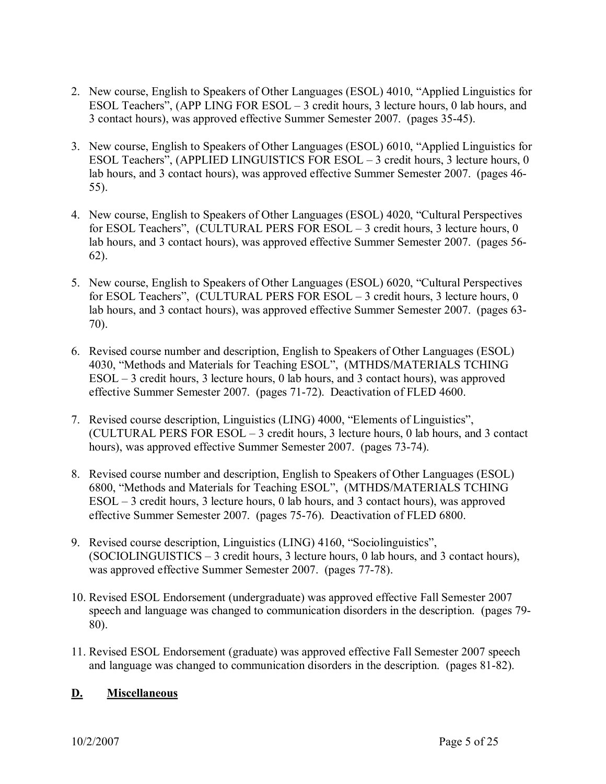- 2. New course, English to Speakers of Other Languages (ESOL) 4010, "Applied Linguistics for ESOL Teachers", (APP LING FOR ESOL – 3 credit hours, 3 lecture hours, 0 lab hours, and 3 contact hours), was approved effective Summer Semester 2007. (pages 3545).
- 3. New course, English to Speakers of Other Languages (ESOL) 6010, "Applied Linguistics for ESOL Teachers", (APPLIED LINGUISTICS FOR ESOL – 3 credit hours, 3 lecture hours, 0 lab hours, and 3 contact hours), was approved effective Summer Semester 2007. (pages 46 55).
- 4. New course, English to Speakers of Other Languages (ESOL) 4020, "Cultural Perspectives for ESOL Teachers", (CULTURAL PERS FOR ESOL – 3 credit hours, 3 lecture hours, 0 lab hours, and 3 contact hours), was approved effective Summer Semester 2007. (pages 56 62).
- 5. New course, English to Speakers of Other Languages (ESOL) 6020, "Cultural Perspectives for ESOL Teachers", (CULTURAL PERS FOR ESOL – 3 credit hours, 3 lecture hours, 0 lab hours, and 3 contact hours), was approved effective Summer Semester 2007. (pages 63-70).
- 6. Revised course number and description, English to Speakers of Other Languages (ESOL) 4030, "Methods and Materials for Teaching ESOL", (MTHDS/MATERIALS TCHING ESOL – 3 credit hours, 3 lecture hours, 0 lab hours, and 3 contact hours), was approved effective Summer Semester 2007. (pages 71-72). Deactivation of FLED 4600.
- 7. Revised course description, Linguistics (LING) 4000, "Elements of Linguistics", (CULTURAL PERS FOR ESOL – 3 credit hours, 3 lecture hours, 0 lab hours, and 3 contact hours), was approved effective Summer Semester 2007. (pages 73-74).
- 8. Revised course number and description, English to Speakers of Other Languages (ESOL) 6800, "Methods and Materials for Teaching ESOL", (MTHDS/MATERIALS TCHING ESOL – 3 credit hours, 3 lecture hours, 0 lab hours, and 3 contact hours), was approved effective Summer Semester 2007. (pages 75-76). Deactivation of FLED 6800.
- 9. Revised course description, Linguistics (LING) 4160, "Sociolinguistics", (SOCIOLINGUISTICS – 3 credit hours, 3 lecture hours, 0 lab hours, and 3 contact hours), was approved effective Summer Semester 2007. (pages 77-78).
- 10. Revised ESOL Endorsement (undergraduate) was approved effective Fall Semester 2007 speech and language was changed to communication disorders in the description. (pages 79 80).
- 11. Revised ESOL Endorsement (graduate) was approved effective Fall Semester 2007 speech and language was changed to communication disorders in the description. (pages 81-82).

# **D. Miscellaneous**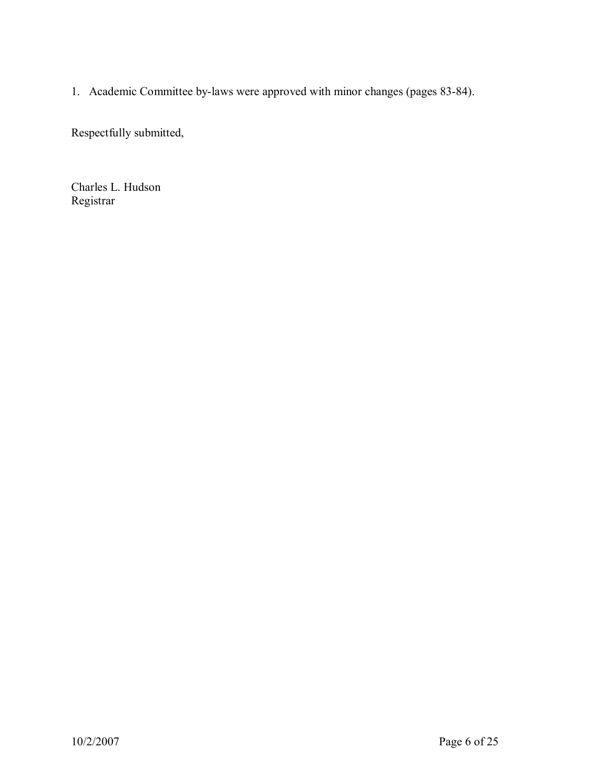1. Academic Committee by-laws were approved with minor changes (pages 83-84).

Respectfully submitted,

Charles L. Hudson Registrar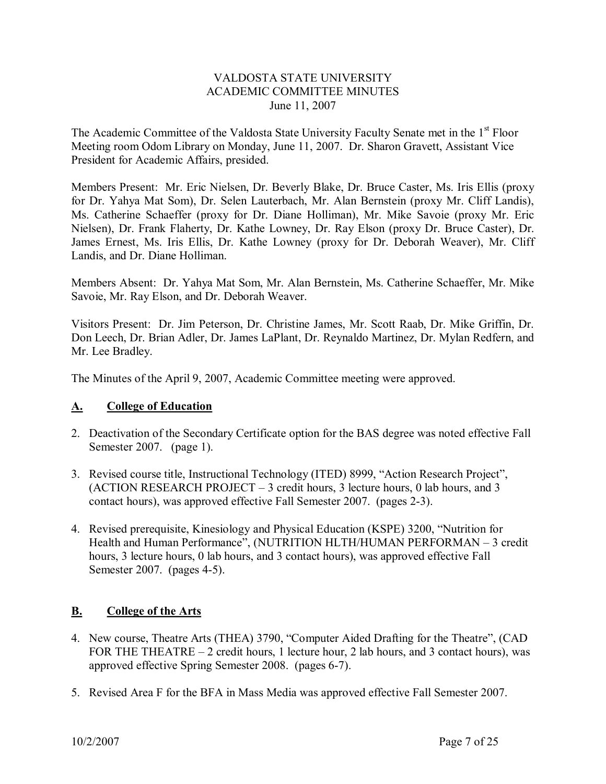# VALDOSTA STATE UNIVERSITY ACADEMIC COMMITTEE MINUTES June 11, 2007

The Academic Committee of the Valdosta State University Faculty Senate met in the 1<sup>st</sup> Floor Meeting room Odom Library on Monday, June 11, 2007. Dr. Sharon Gravett, Assistant Vice President for Academic Affairs, presided.

Members Present: Mr. Eric Nielsen, Dr. Beverly Blake, Dr. Bruce Caster, Ms. Iris Ellis (proxy for Dr. Yahya Mat Som), Dr. Selen Lauterbach, Mr. Alan Bernstein (proxy Mr. Cliff Landis), Members Present: Mr. Eric Nielsen, Dr. Beverly Blake, Dr. Bruce Caster, Ms. Iris Ellis (proxy<br>for Dr. Yahya Mat Som), Dr. Selen Lauterbach, Mr. Alan Bernstein (proxy Mr. Cliff Landis),<br>Ms. Catherine Schaeffer (proxy for D for Dr. Yahya Mat Som), Dr. Selen Lauterbach, Mr. Alan Bernstein (proxy Mr. Cliff Landis), Ms. Catherine Schaeffer (proxy for Dr. Diane Holliman), Mr. Mike Savoie (proxy Mr. Eric Nielsen), Dr. Frank Flaherty, Dr. Kathe Nielsen), Dr. Frank Flaherty, Dr. Kathe Lowney, Dr. Ray Elson (proxy Dr. Bruce Caster), Dr. James Ernest, Ms. Iris Ellis, Dr. Kathe Lowney (proxy for Dr. Deborah Weaver), Mr. Cliff Landis, and Dr. Diane Holliman.

Members Absent: Dr. Yahya Mat Som, Mr. Alan Bernstein, Ms. Catherine Schaeffer, Mr. Mike Savoie, Mr. Ray Elson, and Dr. Deborah Weaver.

Visitors Present: Dr. Jim Peterson, Dr. Christine James, Mr. Scott Raab, Dr. Mike Griffin, Dr. Don Leech, Dr. Brian Adler, Dr. James LaPlant, Dr. Reynaldo Martinez, Dr. Mylan Redfern, and Mr. Lee Bradley.

The Minutes of the April 9, 2007, Academic Committee meeting were approved.

# **A. College of Education**

- 2. Deactivation of the Secondary Certificate option for the BAS degree was noted effective Fall Semester 2007. (page 1).
- 3. Revised course title, Instructional Technology (ITED) 8999, "Action Research Project", (ACTION RESEARCH PROJECT – 3 credit hours, 3 lecture hours, 0 lab hours, and 3 contact hours), was approved effective Fall Semester 2007. (pages 2-3).
- 4. Revised prerequisite, Kinesiology and Physical Education (KSPE) 3200, "Nutrition for Health and Human Performance", (NUTRITION HLTH/HUMAN PERFORMAN – 3 credit hours, 3 lecture hours, 0 lab hours, and 3 contact hours), was approved effective Fall Semester 2007. (pages 4-5).

# **B. College of the Arts**

- 4. New course, Theatre Arts (THEA) 3790, "Computer Aided Drafting for the Theatre", (CAD FOR THE THEATRE – 2 credit hours, 1 lecture hour, 2 lab hours, and 3 contact hours), was approved effective Spring Semester 2008. (pages 6-7).
- 5. Revised Area F for the BFA in Mass Media was approved effective Fall Semester 2007.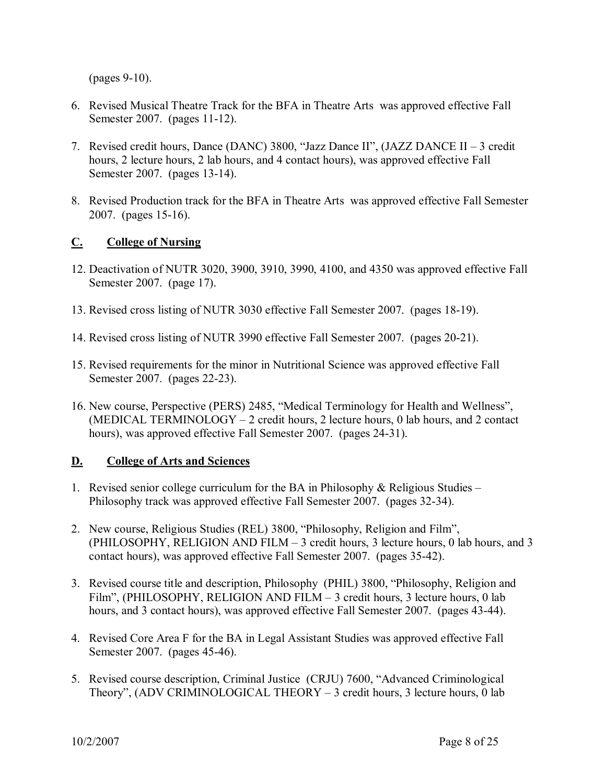$(p$ ages  $9-10$ ).

- 6. Revised Musical Theatre Track for the BFA in Theatre Arts was approved effective Fall Semester 2007. (pages 11-12).
- 7. Revised credit hours, Dance (DANC) 3800, "Jazz Dance II", (JAZZ DANCE II 3 credit hours, 2 lecture hours, 2 lab hours, and 4 contact hours), was approved effective Fall Semester 2007. (pages 13-14).
- 8. Revised Production track for the BFA in Theatre Arts was approved effective Fall Semester 2007. (pages 15-16).

# **C. College of Nursing**

- 12. Deactivation of NUTR 3020, 3900, 3910, 3990, 4100, and 4350 was approved effective Fall Semester 2007. (page 17).
- 13. Revised cross listing of NUTR 3030 effective Fall Semester 2007. (pages 18-19).
- 14. Revised cross listing of NUTR 3990 effective Fall Semester 2007. (pages 20-21).
- 15. Revised requirements for the minor in Nutritional Science was approved effective Fall Semester 2007. (pages 22-23).
- 16. New course, Perspective (PERS) 2485, "Medical Terminology for Health and Wellness", (MEDICAL TERMINOLOGY – 2 credit hours, 2 lecture hours, 0 lab hours, and 2 contact hours), was approved effective Fall Semester 2007. (pages 24-31).

# **D. College of Arts and Sciences**

- 1. Revised senior college curriculum for the BA in Philosophy  $\&$  Religious Studies Philosophy track was approved effective Fall Semester 2007. (pages 32-34).
- 2. New course, Religious Studies (REL) 3800, "Philosophy, Religion and Film", (PHILOSOPHY, RELIGION AND FILM – 3 credit hours, 3 lecture hours, 0 lab hours, and 3 contact hours), was approved effective Fall Semester 2007. (pages 35-42).
- 3. Revised course title and description, Philosophy (PHIL) 3800, "Philosophy, Religion and Film", (PHILOSOPHY, RELIGION AND FILM – 3 credit hours, 3 lecture hours, 0 lab hours, and 3 contact hours), was approved effective Fall Semester 2007. (pages 43-44).
- 4. Revised Core Area F for the BA in Legal Assistant Studies was approved effective Fall Semester 2007. (pages 45-46).
- 5. Revised course description, Criminal Justice (CRJU) 7600, "Advanced Criminological Theory", (ADV CRIMINOLOGICAL THEORY  $-$  3 credit hours, 3 lecture hours, 0 lab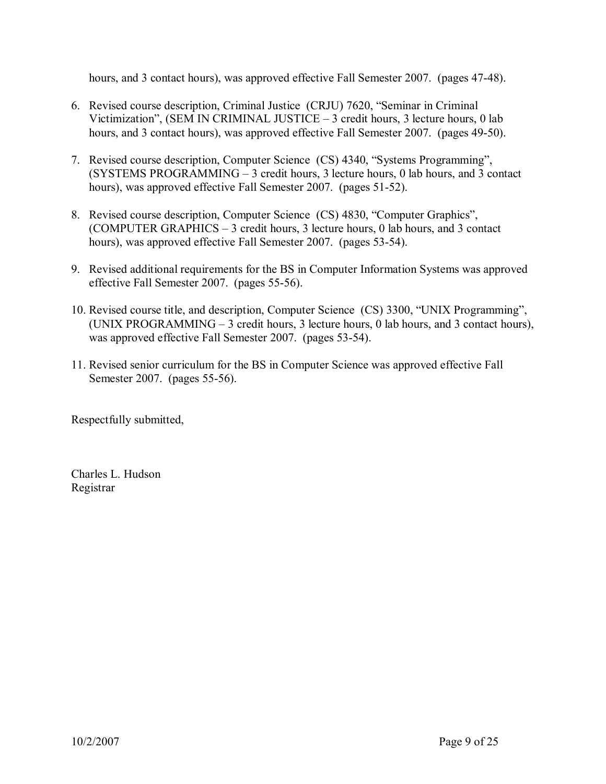hours, and 3 contact hours), was approved effective Fall Semester 2007. (pages 47-48).

- 6. Revised course description, Criminal Justice (CRJU) 7620, "Seminar in Criminal Victimization", (SEM IN CRIMINAL JUSTICE  $-3$  credit hours, 3 lecture hours, 0 lab hours, and 3 contact hours), was approved effective Fall Semester 2007. (pages 49-50).
- 7. Revised course description, Computer Science (CS) 4340, "Systems Programming", (SYSTEMS PROGRAMMING – 3 credit hours, 3 lecture hours, 0 lab hours, and 3 contact hours), was approved effective Fall Semester 2007. (pages 51-52).
- 8. Revised course description, Computer Science (CS) 4830, "Computer Graphics", (COMPUTER GRAPHICS – 3 credit hours, 3 lecture hours, 0 lab hours, and 3 contact hours), was approved effective Fall Semester 2007. (pages 53-54).
- 9. Revised additional requirements for the BS in Computer Information Systems was approved effective Fall Semester 2007. (pages 55-56).
- 10. Revised course title, and description, Computer Science (CS) 3300, "UNIX Programming", (UNIX PROGRAMMING – 3 credit hours, 3 lecture hours, 0 lab hours, and 3 contact hours), was approved effective Fall Semester 2007. (pages 53-54).
- 11. Revised senior curriculum for the BS in Computer Science was approved effective Fall Semester 2007. (pages 55-56).

Respectfully submitted,

Charles L. Hudson Registrar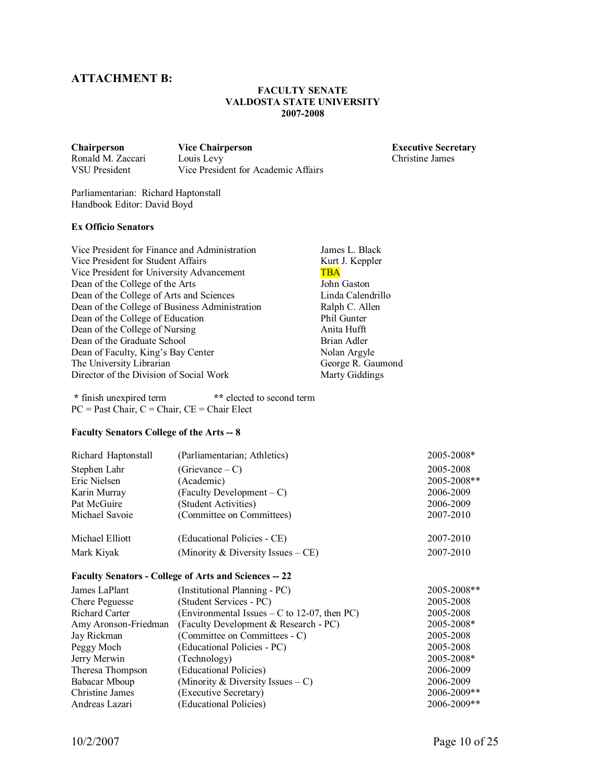# **ATTACHMENT B:**

### **FACULTY SENATE VALDOSTA STATE UNIVERSITY 20072008**

Ronald M. Zaccari

**Chairperson Vice Chairperson Executive Secretary** VSU President Vice President for Academic Affairs

Parliamentarian: Richard Haptonstall Handbook Editor: David Boyd

#### **Ex Officio Senators**

Vice President for Finance and Administration James L. Black Vice President for Student Affairs Kurt J. Keppler<br>
Vice President for University Advancement TBA Vice President for University Advancement<br>
Dean of the College of the Arts<br>
John Gaston Dean of the College of the Arts<br>
Dean of the College of Arts and Sciences<br>
Linda Calendrillo Dean of the College of Arts and Sciences<br>
Dean of the College of Business Administration<br>
Ralph C. Allen Dean of the College of Business Administration Ralph C. Al<br>Dean of the College of Education Phil Gunter Dean of the College of Education<br>
Dean of the College of Nursing<br>
Anita Hufft Dean of the College of Nursing Dean of the Graduate School Brian Adler Dean of Faculty, King's Bay Center Nolan Argyle The University Librarian George R. Gaumond<br>Director of the Division of Social Work Marty Giddings Director of the Division of Social Work

**\*** finish unexpired term **\*\*** elected to second term  $PC = Past Chair, C = Chair, CE = Chair Elect$ 

#### Faculty Senators College of the Arts -- 8

| (Parliamentarian; Athletics)                                 | 2005-2008*  |
|--------------------------------------------------------------|-------------|
| (Grievance – C)                                              | 2005-2008   |
| (Academic)                                                   | 2005-2008** |
| $(Faculty \t Development - C)$                               | 2006-2009   |
| (Student Activities)                                         | 2006-2009   |
| (Committee on Committees)                                    | 2007-2010   |
| (Educational Policies - CE)                                  | 2007-2010   |
| (Minority & Diversity Issues $-CE$ )<br>Mark Kiyak           |             |
| <b>Faculty Senators - College of Arts and Sciences -- 22</b> |             |
| (Institutional Planning - PC)                                | 2005-2008** |
| (Student Services - PC)                                      | 2005-2008   |
| (Environmental Issues $- C$ to 12-07, then PC)               | 2005-2008   |
| (Faculty Development & Research - PC)                        | 2005-2008*  |
| (Committee on Committees - C)                                | 2005-2008   |
| (Educational Policies - PC)                                  | 2005-2008   |
| (Technology)                                                 | 2005-2008*  |
| (Educational Policies)                                       | 2006-2009   |
| (Minority & Diversity Issues $- C$ )                         | 2006-2009   |
| (Executive Secretary)                                        | 2006-2009** |
| (Educational Policies)                                       | 2006-2009** |
|                                                              |             |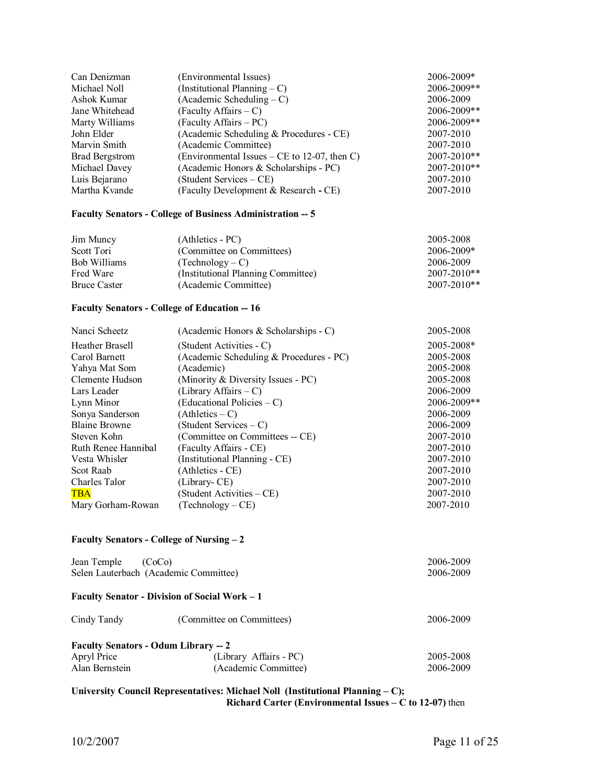| Can Denizman          | (Environmental Issues)                       | 2006-2009*  |
|-----------------------|----------------------------------------------|-------------|
| Michael Noll          | (Institutional Planning $-C$ )               | 2006-2009** |
| Ashok Kumar           | $(Academic Scheduling - C)$                  | 2006-2009   |
| Jane Whitehead        | $(Faculty Affairs - C)$                      | 2006-2009** |
| Marty Williams        | (Faculty Affairs – PC)                       | 2006-2009** |
| John Elder            | (Academic Scheduling & Procedures - CE)      | 2007-2010   |
| Marvin Smith          | (Academic Committee)                         | 2007-2010   |
| <b>Brad Bergstrom</b> | (Environmental Issues – CE to 12-07, then C) | 2007-2010** |
| Michael Davey         | (Academic Honors & Scholarships - PC)        | 2007-2010** |
| Luis Bejarano         | (Student Services – CE)                      | 2007-2010   |
| Martha Kvande         | (Faculty Development & Research - CE)        | 2007-2010   |

#### **Faculty Senators College of Business Administration 5**

| Jim Muncy           | (Athletics - PC)                   | 2005-2008       |
|---------------------|------------------------------------|-----------------|
| Scott Tori          | (Committee on Committees)          | $2006 - 2009*$  |
| Bob Williams        | $(Technology - C)$                 | 2006-2009       |
| Fred Ware           | (Institutional Planning Committee) | $2007 - 2010**$ |
| <b>Bruce Caster</b> | (Academic Committee)               | $2007 - 2010**$ |

## **Faculty Senators College of Education 16**

| Nanci Scheetz        | (Academic Honors $&$ Scholarships - C)  | 2005-2008      |
|----------------------|-----------------------------------------|----------------|
| Heather Brasell      | (Student Activities - C)                | $2005 - 2008*$ |
| Carol Barnett        | (Academic Scheduling & Procedures - PC) | 2005-2008      |
| Yahya Mat Som        | (Academic)                              | 2005-2008      |
| Clemente Hudson      | (Minority & Diversity Issues - PC)      | 2005-2008      |
| Lars Leader          | (Library Affairs $- C$ )                | 2006-2009      |
| Lynn Minor           | (Educational Policies – C)              | 2006-2009**    |
| Sonya Sanderson      | $(Athletics - C)$                       | 2006-2009      |
| <b>Blaine Browne</b> | (Student Services – C)                  | 2006-2009      |
| Steven Kohn          | (Committee on Committees -- CE)         | 2007-2010      |
| Ruth Renee Hannibal  | (Faculty Affairs - CE)                  | 2007-2010      |
| Vesta Whisler        | (Institutional Planning - CE)           | 2007-2010      |
| Scot Raab            | (Athletics - CE)                        | 2007-2010      |
| Charles Talor        | (Library-CE)                            | 2007-2010      |
| <b>TBA</b>           | (Student Activities – CE)               | 2007-2010      |
| Mary Gorham-Rowan    | $(Technology - CE)$                     | 2007-2010      |

### **Faculty Senators College of Nursing – 2**

| Jean Temple<br>(CoCo)<br>Selen Lauterbach (Academic Committee) | 2006-2009<br>2006-2009                               |                        |
|----------------------------------------------------------------|------------------------------------------------------|------------------------|
|                                                                | <b>Faculty Senator - Division of Social Work – 1</b> |                        |
| Cindy Tandy                                                    | (Committee on Committees)                            | 2006-2009              |
| <b>Faculty Senators - Odum Library -- 2</b>                    |                                                      |                        |
| Apryl Price<br>Alan Bernstein                                  | (Library Affairs - PC)<br>(Academic Committee)       | 2005-2008<br>2006-2009 |
|                                                                |                                                      |                        |

### **University Council Representatives: Michael Noll (Institutional Planning – C); Richard Carter (Environmental Issues – C to 12-07)** then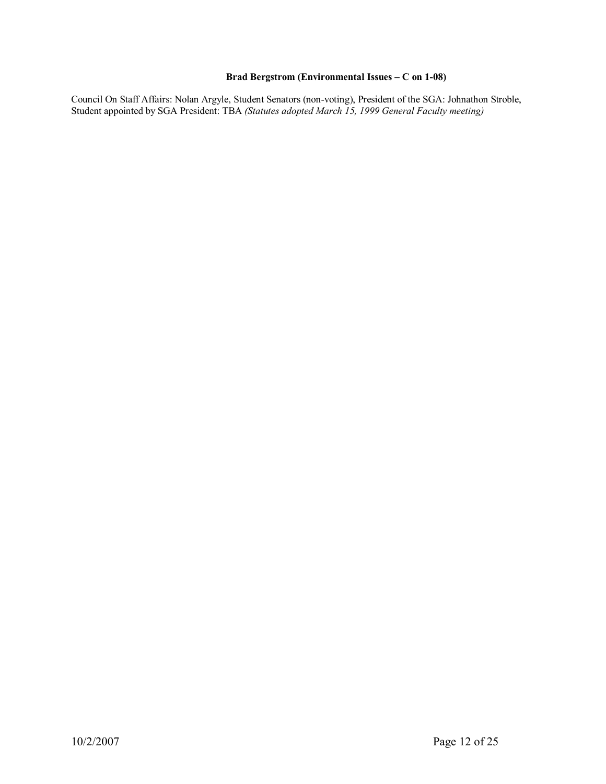## Brad Bergstrom (Environmental Issues – C on 1-08)

Council On Staff Affairs: Nolan Argyle, Student Senators (non-voting), President of the SGA: Johnathon Stroble, Student appointed by SGA President: TBA *(Statutes adopted March 15, 1999 General Faculty meeting)*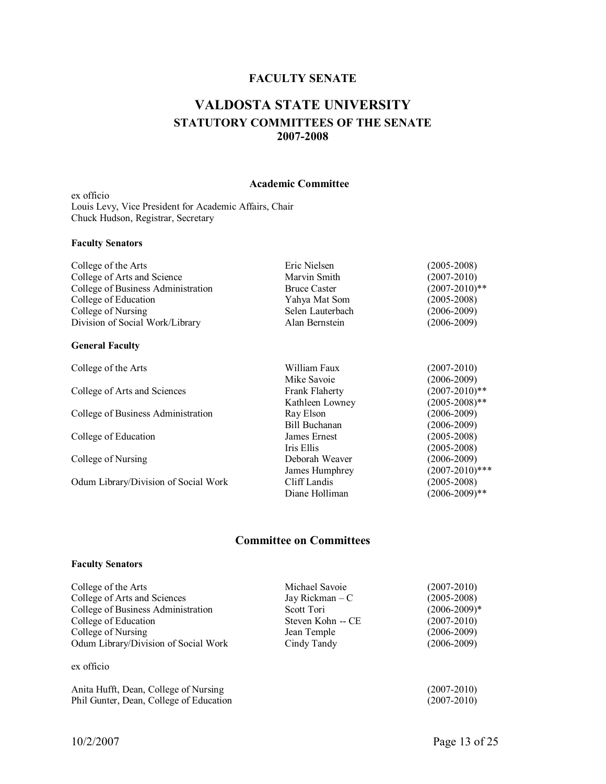# **FACULTY SENATE**

# **VALDOSTA STATE UNIVERSITY STATUTORY COMMITTEES OF THE SENATE 20072008**

#### **Academic Committee**

ex officio Louis Levy, Vice President for Academic Affairs, Chair Chuck Hudson, Registrar, Secretary

#### **Faculty Senators**

| College of the Arts                | Eric Nielsen         | $(2005 - 2008)$    |
|------------------------------------|----------------------|--------------------|
| College of Arts and Science        | Marvin Smith         | $(2007 - 2010)$    |
| College of Business Administration | <b>Bruce Caster</b>  | $(2007 - 2010)**$  |
| College of Education               | Yahya Mat Som        | $(2005 - 2008)$    |
| College of Nursing                 | Selen Lauterbach     | $(2006 - 2009)$    |
| Division of Social Work/Library    | Alan Bernstein       | $(2006 - 2009)$    |
| <b>General Faculty</b>             |                      |                    |
| College of the Arts                | William Faux         | $(2007 - 2010)$    |
|                                    | Mike Savoie          | $(2006 - 2009)$    |
| College of Arts and Sciences       | Frank Flaherty       | $(2007 - 2010)**$  |
|                                    | Kathleen Lowney      | $(2005 - 2008)$ ** |
| College of Business Administration | Ray Elson            | $(2006 - 2009)$    |
|                                    | <b>Bill Buchanan</b> | $(2006 - 2009)$    |
| College of Education               | James Ernest         | $(2005 - 2008)$    |
|                                    | Iris Ellis           | $(2005 - 2008)$    |
| College of Nursing                 | Deborah Weaver       | $(2006 - 2009)$    |

College of Nursing Deborah Weaver (2006-2009)<br>James Humphrey (2007-2010)\*\*\*

Odum Library/Division of Social Work Cliff Landis (2005-2008)<br>Diane Holliman (2006-2009)\*\*

# **Committee on Committees**

Diane Holliman

James Humphrey (2007-2010)\*<br>Cliff Landis (2005-2008)

#### **Faculty Senators**

| College of the Arts                     | Michael Savoie    | $(2007 - 2010)$  |
|-----------------------------------------|-------------------|------------------|
| College of Arts and Sciences            | Jay Rickman $-C$  | $(2005 - 2008)$  |
| College of Business Administration      | Scott Tori        | $(2006 - 2009)*$ |
| College of Education                    | Steven Kohn -- CE | $(2007 - 2010)$  |
| College of Nursing                      | Jean Temple       | $(2006 - 2009)$  |
| Odum Library/Division of Social Work    | Cindy Tandy       | $(2006 - 2009)$  |
| ex officio                              |                   |                  |
| Anita Hufft, Dean, College of Nursing   |                   | $(2007 - 2010)$  |
| Phil Gunter, Dean, College of Education |                   | $(2007 - 2010)$  |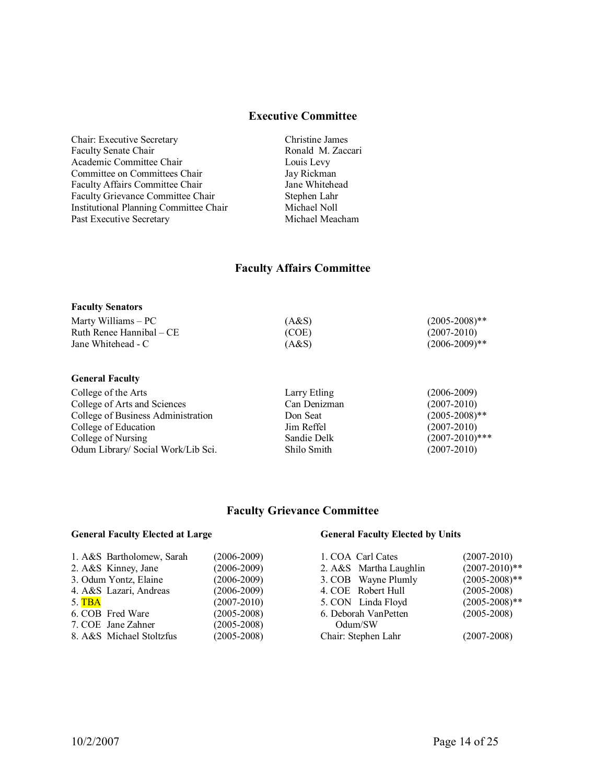## **Executive Committee**

Chair: Executive Secretary **Christine James**<br>
Faculty Senate Chair **Christian Christian Chair** Ronald M. Zaccari Faculty Senate Chair Academic Committee Chair Louis Levy Committee on Committees Chair Jay Rickman<br>
Faculty Affairs Committee Chair Jane Whitehead Faculty Affairs Committee Chair Faculty Grievance Committee Chair Stephen Lahr<br>
Institutional Planning Committee Chair Michael Noll Institutional Planning Committee Chair Michael Noll Past Executive Secretary

# **Faculty Affairs Committee**

#### **Faculty Senators**

| Marty Williams – PC      | (A&S) | $(2005 - 2008)$ ** |
|--------------------------|-------|--------------------|
| Ruth Renee Hannibal – CE | (COE) | $(2007 - 2010)$    |
| Jane Whitehead - C       | (A&S) | $(2006 - 2009)$ ** |

#### **General Faculty**

College of the Arts Larry Etling (2006-2009)<br>College of Arts and Sciences Can Denizman (2007-2010) College of Arts and Sciences Can Denizman (2007-2010) College of Business Administration Don Seat (2005-2008)<sup>\*\*</sup><br>College of Education Im Reffel (2007-2010) College of Education Jim Reffel (2007-2010)<br>College of Nursing Sandie Delk (2007-2010)\*\*\* College of Nursing Sandie Delk (2007-2010)\*<br>
Odum Library/ Social Work/Lib Sci. Shilo Smith (2007-2010) (2007-2010) Odum Library/ Social Work/Lib Sci. Shilo Smith

## **Faculty Grievance Committee**

## **General Faculty Elected at Large General Faculty Elected by Units**

| 1. A&S Bartholomew, Sarah | $(2006 - 2009)$ | 1. COA Carl Cates      | $(2007 - 2010)$    |
|---------------------------|-----------------|------------------------|--------------------|
| 2. A&S Kinney, Jane       | $(2006 - 2009)$ | 2. A&S Martha Laughlin | $(2007 - 2010)**$  |
| 3. Odum Yontz, Elaine     | $(2006 - 2009)$ | 3. COB Wayne Plumly    | $(2005 - 2008)$ ** |
| 4. A&S Lazari, Andreas    | $(2006 - 2009)$ | 4. COE Robert Hull     | $(2005 - 2008)$    |
| 5. TBA                    | $(2007 - 2010)$ | 5. CON Linda Floyd     | $(2005 - 2008)$ ** |
| 6. COB Fred Ware          | $(2005 - 2008)$ | 6. Deborah VanPetten   | $(2005 - 2008)$    |
| 7. COE Jane Zahner        | $(2005 - 2008)$ | Odum/SW                |                    |
| 8. A&S Michael Stoltzfus  | $(2005 - 2008)$ | Chair: Stephen Lahr    | $(2007 - 2008)$    |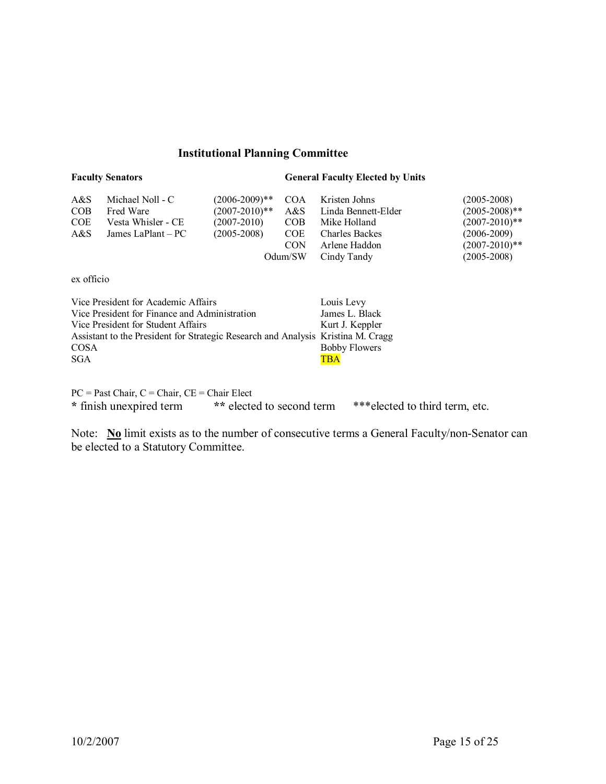# **Institutional Planning Committee**

## **Faculty Senators General Faculty Elected by Units**

| A&S<br><b>COB</b><br><b>COE</b><br>A&S | Michael Noll - C<br>Fred Ware<br>Vesta Whisler - CE<br>James LaPlant – PC | $(2006 - 2009)**$<br>$(2007 - 2010)*$<br>$(2007 - 2010)$<br>$(2005 - 2008)$ | <b>COA</b><br>A&S<br><b>COB</b><br><b>COE</b><br><b>CON</b><br>Odum/SW | Kristen Johns<br>Linda Bennett-Elder<br>Mike Holland<br><b>Charles Backes</b><br>Arlene Haddon<br>Cindy Tandy | $(2005 - 2008)$<br>$(2005-2008)$ **<br>$(2007 - 2010)**$<br>$(2006 - 2009)$<br>$(2007 - 2010)**$<br>$(2005 - 2008)$ |
|----------------------------------------|---------------------------------------------------------------------------|-----------------------------------------------------------------------------|------------------------------------------------------------------------|---------------------------------------------------------------------------------------------------------------|---------------------------------------------------------------------------------------------------------------------|
|                                        |                                                                           |                                                                             |                                                                        |                                                                                                               |                                                                                                                     |

ex officio

| Vice President for Academic Affairs                                              | Louis Levy           |
|----------------------------------------------------------------------------------|----------------------|
| Vice President for Finance and Administration                                    | James L. Black       |
| Vice President for Student Affairs                                               | Kurt J. Keppler      |
| Assistant to the President for Strategic Research and Analysis Kristina M. Cragg |                      |
| <b>COSA</b>                                                                      | <b>Bobby Flowers</b> |
| <b>SGA</b>                                                                       | <b>TRA</b>           |

 $PC = Past Chair, C = Chair, CE = Chair Elect$ **\*** finish unexpired term **\*\*** elected to second term \*\*\*elected to third term, etc.

Note: **No** limit exists as to the number of consecutive terms a General Faculty/non-Senator can be elected to a Statutory Committee.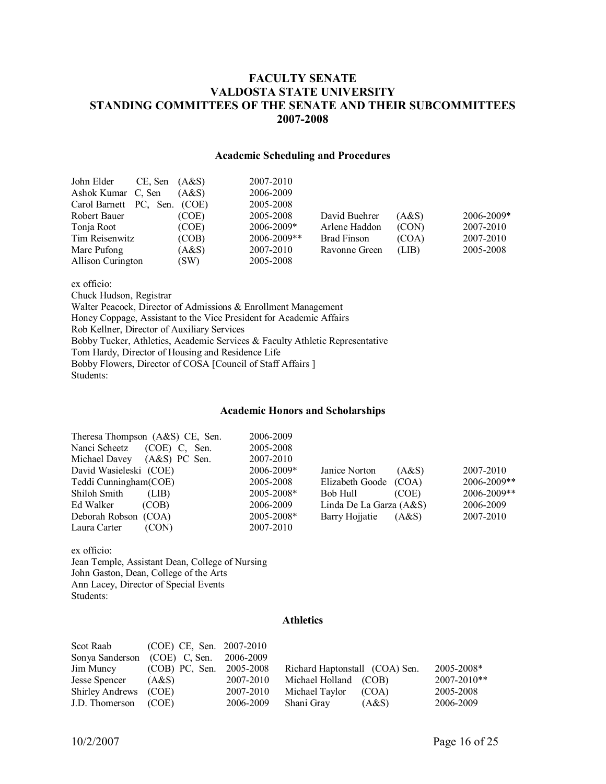# **FACULTY SENATE VALDOSTA STATE UNIVERSITY STANDING COMMITTEES OF THE SENATE AND THEIR SUBCOMMITTEES 20072008**

## **Academic Scheduling and Procedures**

| John Elder                   | CE, Sen | (A&S) | 2007-2010      |                    |       |            |
|------------------------------|---------|-------|----------------|--------------------|-------|------------|
| Ashok Kumar C, Sen           |         | (A&S) | 2006-2009      |                    |       |            |
| Carol Barnett PC, Sen. (COE) |         |       | 2005-2008      |                    |       |            |
| Robert Bauer                 |         | (COE) | 2005-2008      | David Buehrer      | (AdS) | 2006-2009* |
| Tonja Root                   |         | (COE) | $2006 - 2009*$ | Arlene Haddon      | (CON) | 2007-2010  |
| Tim Reisenwitz               |         | (COB) | 2006-2009**    | <b>Brad Finson</b> | (COA) | 2007-2010  |
| Marc Pufong                  |         | (A&S) | 2007-2010      | Ravonne Green      | (LIB) | 2005-2008  |
| Allison Curington            |         | (SW)  | 2005-2008      |                    |       |            |

ex officio:

Chuck Hudson, Registrar

Walter Peacock, Director of Admissions & Enrollment Management Honey Coppage, Assistant to the Vice President for Academic Affairs Rob Kellner, Director of Auxiliary Services Bobby Tucker, Athletics, Academic Services & Faculty Athletic Representative Tom Hardy, Director of Housing and Residence Life Bobby Flowers, Director of COSA [Council of Staff Affairs ] Students:

#### **Academic Honors and Scholarships**

| Theresa Thompson $(A&S)$ CE, Sen. | 2006-2009  |                         |       |             |
|-----------------------------------|------------|-------------------------|-------|-------------|
| Nanci Scheetz<br>$(COE)$ C, Sen.  | 2005-2008  |                         |       |             |
| Michael Davey<br>$(AdS)$ PC Sen.  | 2007-2010  |                         |       |             |
| David Wasieleski (COE)            | 2006-2009* | Janice Norton           | (A&S) | 2007-2010   |
| Teddi Cunningham (COE)            | 2005-2008  | Elizabeth Goode (COA)   |       | 2006-2009** |
| Shiloh Smith<br>(LIB)             | 2005-2008* | Bob Hull                | (COE) | 2006-2009** |
| Ed Walker<br>(COB)                | 2006-2009  | Linda De La Garza (A&S) |       | 2006-2009   |
| Deborah Robson (COA)              | 2005-2008* | Barry Hojiatie          | (A&S) | 2007-2010   |
| (CON)<br>Laura Carter             | 2007-2010  |                         |       |             |

ex officio: Jean Temple, Assistant Dean, College of Nursing John Gaston, Dean, College of the Arts Ann Lacey, Director of Special Events Students:

## **Athletics**

| Scot Raab             | (COE) CE, Sen. 2007-2010 |           |                                |                |
|-----------------------|--------------------------|-----------|--------------------------------|----------------|
| Sonya Sanderson       | $(COE)$ C, Sen.          | 2006-2009 |                                |                |
| Jim Muncy             | (COB) PC, Sen.           | 2005-2008 | Richard Haptonstall (COA) Sen. | $2005 - 2008*$ |
| Jesse Spencer         | (A&S)                    | 2007-2010 | Michael Holland (COB)          | 2007-2010**    |
| Shirley Andrews (COE) |                          | 2007-2010 | Michael Taylor<br>(COA)        | 2005-2008      |
| J.D. Thomerson (COE)  |                          | 2006-2009 | Shani Gray<br>(A&S)            | 2006-2009      |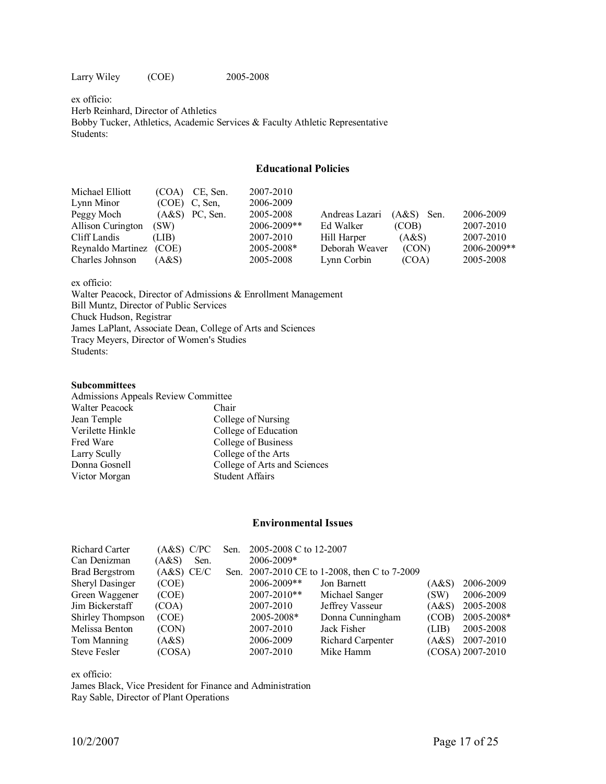Larry Wiley (COE) 2005-2008

ex officio: Herb Reinhard, Director of Athletics Bobby Tucker, Athletics, Academic Services & Faculty Athletic Representative Students:

## **Educational Policies**

| Michael Elliott         | (COA) | CE, Sen.         | 2007-2010      |                |              |             |
|-------------------------|-------|------------------|----------------|----------------|--------------|-------------|
| Lynn Minor              |       | $(COE)$ C, Sen,  | 2006-2009      |                |              |             |
| Peggy Moch              |       | $(A&S)$ PC, Sen. | 2005-2008      | Andreas Lazari | $(A&S)$ Sen. | 2006-2009   |
| Allison Curington       | (SW)  |                  | 2006-2009**    | Ed Walker      | (COB)        | 2007-2010   |
| Cliff Landis            | (LIB) |                  | 2007-2010      | Hill Harper    | (A&S)        | 2007-2010   |
| Reynaldo Martinez (COE) |       |                  | $2005 - 2008*$ | Deborah Weaver | (CON)        | 2006-2009** |
| Charles Johnson         | (AdS) |                  | 2005-2008      | Lynn Corbin    | (COA)        | 2005-2008   |

ex officio:

Walter Peacock, Director of Admissions & Enrollment Management Bill Muntz, Director of Public Services Chuck Hudson, Registrar James LaPlant, Associate Dean, College of Arts and Sciences Tracy Meyers, Director of Women's Studies Students:

#### **Subcommittees**

| Admissions Appeals Review Committee |                              |  |  |  |  |
|-------------------------------------|------------------------------|--|--|--|--|
| Walter Peacock                      | Chair                        |  |  |  |  |
| Jean Temple                         | College of Nursing           |  |  |  |  |
| Verilette Hinkle                    | College of Education         |  |  |  |  |
| Fred Ware                           | College of Business          |  |  |  |  |
| Larry Scully                        | College of the Arts          |  |  |  |  |
| Donna Gosnell                       | College of Arts and Sciences |  |  |  |  |
| Victor Morgan                       | <b>Student Affairs</b>       |  |  |  |  |

## **Environmental Issues**

| <b>Richard Carter</b> | (A&S) C/PC    | Sen. | 2005-2008 C to 12-2007 |                                               |       |                  |
|-----------------------|---------------|------|------------------------|-----------------------------------------------|-------|------------------|
| Can Denizman          | (A&S)<br>Sen. |      | 2006-2009*             |                                               |       |                  |
| <b>Brad Bergstrom</b> | $(A&S)$ CE/C  |      |                        | Sen. 2007-2010 CE to 1-2008, then C to 7-2009 |       |                  |
| Sheryl Dasinger       | (COE)         |      | 2006-2009**            | Jon Barnett                                   | (A&S) | 2006-2009        |
| Green Waggener        | (COE)         |      | 2007-2010**            | Michael Sanger                                | (SW)  | 2006-2009        |
| Jim Bickerstaff       | (COA)         |      | 2007-2010              | Jeffrey Vasseur                               | (A&S) | 2005-2008        |
| Shirley Thompson      | (COE)         |      | 2005-2008*             | Donna Cunningham                              | (COB) | 2005-2008*       |
| Melissa Benton        | (CON)         |      | 2007-2010              | Jack Fisher                                   | (LIB) | 2005-2008        |
| Tom Manning           | (AdS)         |      | 2006-2009              | Richard Carpenter                             | (A&S) | 2007-2010        |
| <b>Steve Fesler</b>   | (COSA)        |      | 2007-2010              | Mike Hamm                                     |       | (COSA) 2007-2010 |

ex officio:

James Black, Vice President for Finance and Administration Ray Sable, Director of Plant Operations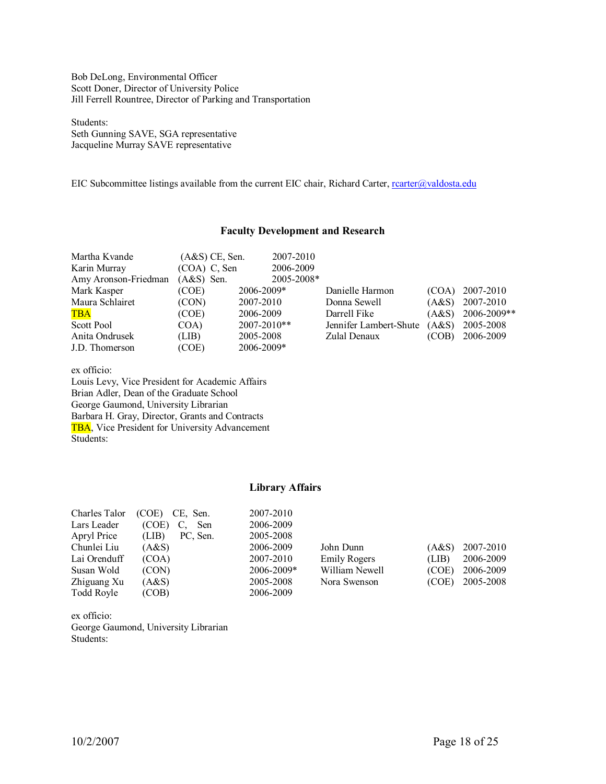Bob DeLong, Environmental Officer Scott Doner, Director of University Police Jill Ferrell Rountree, Director of Parking and Transportation

Students: Seth Gunning SAVE, SGA representative Jacqueline Murray SAVE representative

EIC Subcommittee listings available from the current EIC chair, Richard Carter, rearter@valdosta.edu

| Martha Kvande<br>Karin Murray | $(A&S)$ CE, Sen.<br>$(COA)$ C, Sen | 2007-2010<br>2006-2009 |                        |       |             |
|-------------------------------|------------------------------------|------------------------|------------------------|-------|-------------|
| Amy Aronson-Friedman          | $(A&S)$ Sen.                       | 2005-2008*             |                        |       |             |
| Mark Kasper                   | (COE)                              | 2006-2009*             | Danielle Harmon        | (COA) | 2007-2010   |
| Maura Schlairet               | (CON)                              | 2007-2010              | Donna Sewell           | (A&S) | 2007-2010   |
| <b>TBA</b>                    | (COE)                              | 2006-2009              | Darrell Fike           | (A&S) | 2006-2009** |
| Scott Pool                    | COA)                               | $2007 - 2010**$        | Jennifer Lambert-Shute | (A&S) | 2005-2008   |
| Anita Ondrusek                | (LIB)                              | 2005-2008              | Zulal Denaux           | (COB) | 2006-2009   |
| J.D. Thomerson                | (COE)                              | 2006-2009*             |                        |       |             |

**Faculty Development and Research**

ex officio:

Louis Levy, Vice President for Academic Affairs Brian Adler, Dean of the Graduate School George Gaumond, University Librarian Barbara H. Gray, Director, Grants and Contracts TBA, Vice President for University Advancement Students:

# **Library Affairs**

| Charles Talor | (COE)<br>CE, Sen. | 2007-2010      |                |                    |  |
|---------------|-------------------|----------------|----------------|--------------------|--|
| Lars Leader   | (COE)<br>Sen      | 2006-2009      |                |                    |  |
| Apryl Price   | PC, Sen.<br>(LIB) | 2005-2008      |                |                    |  |
| Chunlei Liu   | (A&S)             | 2006-2009      | John Dunn      | 2007-2010<br>(A&S) |  |
| Lai Orenduff  | (COA)             | 2007-2010      | Emily Rogers   | 2006-2009<br>(LIB) |  |
| Susan Wold    | (CON)             | $2006 - 2009*$ | William Newell | 2006-2009<br>(COE) |  |
| Zhiguang Xu   | (A&S)             | 2005-2008      | Nora Swenson   | 2005-2008<br>(COE) |  |
| Todd Royle    | (COB)             | 2006-2009      |                |                    |  |

ex officio: George Gaumond, University Librarian Students: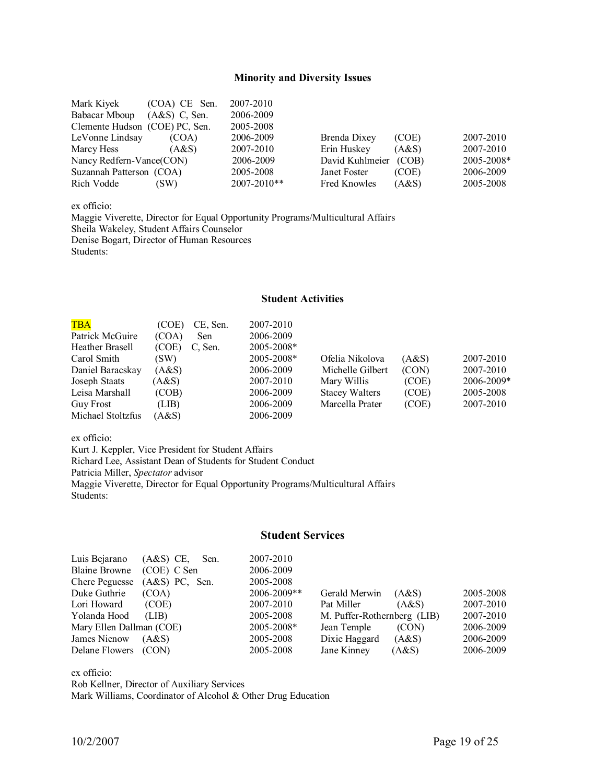## **Minority and Diversity Issues**

| Mark Kiyek                     | (COA) CE Sen.   | 2007-2010       |                     |       |            |
|--------------------------------|-----------------|-----------------|---------------------|-------|------------|
| Babacar Mboup                  | $(AdS)$ C, Sen. | 2006-2009       |                     |       |            |
| Clemente Hudson (COE) PC, Sen. |                 | 2005-2008       |                     |       |            |
| LeVonne Lindsay                | (COA)           | 2006-2009       | Brenda Dixey        | (COE) | 2007-2010  |
| Marcy Hess                     | (AdS)           | 2007-2010       | Erin Huskey         | (A&S) | 2007-2010  |
| Nancy Redfern-Vance(CON)       |                 | 2006-2009       | David Kuhlmeier     | (COB) | 2005-2008* |
| Suzannah Patterson (COA)       |                 | 2005-2008       | Janet Foster        | (COE) | 2006-2009  |
| Rich Vodde                     | (SW)            | $2007 - 2010**$ | <b>Fred Knowles</b> | (A&S) | 2005-2008  |

ex officio:

Maggie Viverette, Director for Equal Opportunity Programs/Multicultural Affairs Sheila Wakeley, Student Affairs Counselor Denise Bogart, Director of Human Resources Students:

### **Student Activities**

| <b>TBA</b>        | (COE) | CE, Sen. | 2007-2010      |                       |       |            |
|-------------------|-------|----------|----------------|-----------------------|-------|------------|
| Patrick McGuire   | (COA) | Sen      | 2006-2009      |                       |       |            |
| Heather Brasell   | (COE) | C. Sen.  | $2005 - 2008*$ |                       |       |            |
| Carol Smith       | (SW)  |          | 2005-2008*     | Ofelia Nikolova       | (A&S) | 2007-2010  |
| Daniel Baracskay  | (AdS) |          | 2006-2009      | Michelle Gilbert      | (CON) | 2007-2010  |
| Joseph Staats     | (A&S) |          | 2007-2010      | Mary Willis           | (COE) | 2006-2009* |
| Leisa Marshall    | (COB) |          | 2006-2009      | <b>Stacey Walters</b> | (COE) | 2005-2008  |
| <b>Guy Frost</b>  | (LIB) |          | 2006-2009      | Marcella Prater       | (COE) | 2007-2010  |
| Michael Stoltzfus | A&S   |          | 2006-2009      |                       |       |            |

ex officio:

Kurt J. Keppler, Vice President for Student Affairs Richard Lee, Assistant Dean of Students for Student Conduct Patricia Miller, *Spectator* advisor Maggie Viverette, Director for Equal Opportunity Programs/Multicultural Affairs Students:

# **Student Services**

| Luis Bejarano            | $(A&S)$ CE,<br>Sen. | 2007-2010   |                             |       |           |
|--------------------------|---------------------|-------------|-----------------------------|-------|-----------|
| <b>Blaine Browne</b>     | (COE) C Sen         | 2006-2009   |                             |       |           |
| <b>Chere Peguesse</b>    | $(A&S)$ PC, Sen.    | 2005-2008   |                             |       |           |
| Duke Guthrie             | (COA)               | 2006-2009** | Gerald Merwin               | (A&S) | 2005-2008 |
| Lori Howard              | (COE)               | 2007-2010   | Pat Miller                  | (A&S) | 2007-2010 |
| Yolanda Hood             | (LIB)               | 2005-2008   | M. Puffer-Rothernberg (LIB) |       | 2007-2010 |
| Mary Ellen Dallman (COE) |                     | 2005-2008*  | Jean Temple                 | (CON) | 2006-2009 |
| James Nienow             | (A&S)               | 2005-2008   | Dixie Haggard               | (A&S) | 2006-2009 |
| Delane Flowers           | (CON)               | 2005-2008   | Jane Kinney                 | (AdS) | 2006-2009 |

ex officio:

Rob Kellner, Director of Auxiliary Services Mark Williams, Coordinator of Alcohol & Other Drug Education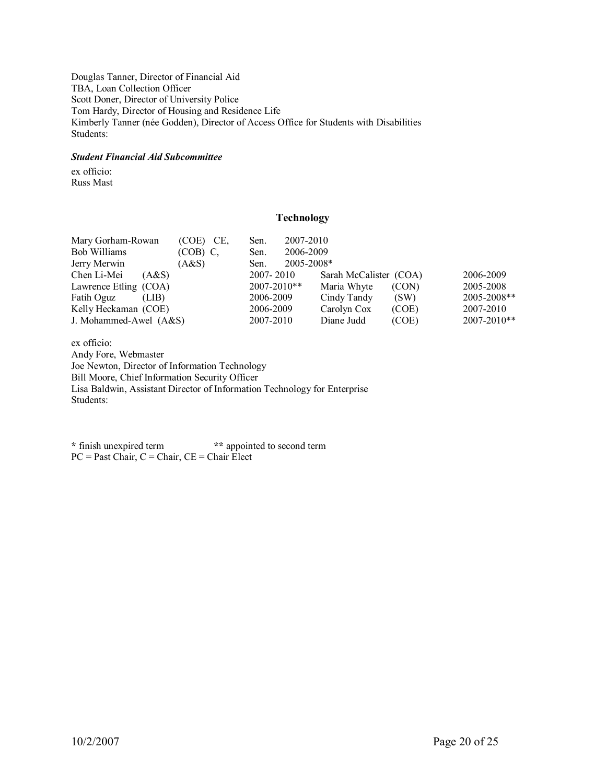Douglas Tanner, Director of Financial Aid TBA, Loan Collection Officer Scott Doner, Director of University Police Tom Hardy, Director of Housing and Residence Life Kimberly Tanner (née Godden), Director of Access Office for Students with Disabilities Students:

## *Student Financial Aid Subcommittee*

ex officio: Russ Mast

## **Technology**

| Mary Gorham-Rowan      | (COE) CE,  | Sen.            | 2007-2010  |                        |       |             |
|------------------------|------------|-----------------|------------|------------------------|-------|-------------|
| Bob Williams           | $(COB)$ C. | Sen.            | 2006-2009  |                        |       |             |
| Jerry Merwin           | (A&S)      | Sen.            | 2005-2008* |                        |       |             |
| Chen Li-Mei<br>(A&S)   |            | $2007 - 2010$   |            | Sarah McCalister (COA) |       | 2006-2009   |
| Lawrence Etling (COA)  |            | $2007 - 2010**$ |            | Maria Whyte            | (CON) | 2005-2008   |
| Fatih Oguz<br>(LIB)    |            | 2006-2009       |            | Cindy Tandy            | (SW)  | 2005-2008** |
| Kelly Heckaman (COE)   |            | 2006-2009       |            | Carolyn Cox            | (COE) | 2007-2010   |
| J. Mohammed-Awel (A&S) |            | 2007-2010       |            | Diane Judd             | (COE) | 2007-2010** |

ex officio: Andy Fore, Webmaster Joe Newton, Director of Information Technology Bill Moore, Chief Information Security Officer Lisa Baldwin, Assistant Director of Information Technology for Enterprise Students:

**\*** finish unexpired term **\*\*** appointed to second term  $PC =$  Past Chair,  $C =$  Chair,  $CE =$  Chair Elect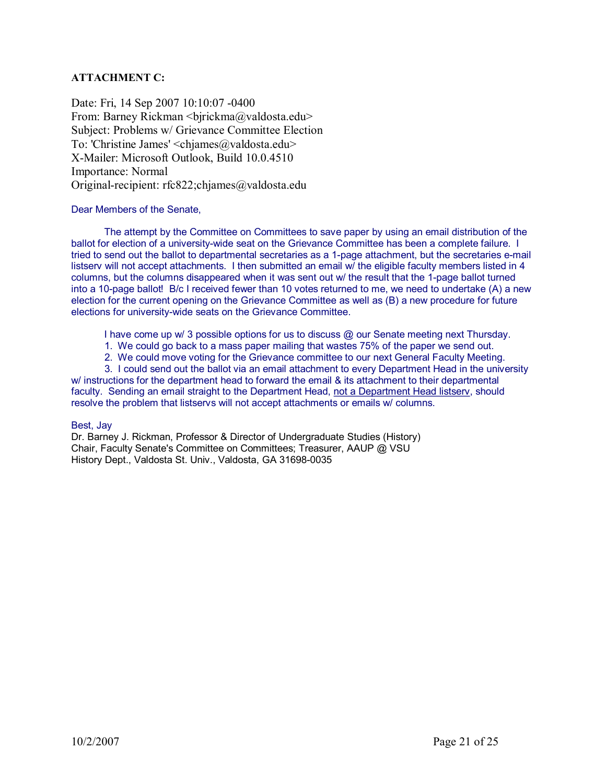# **ATTACHMENT C:**

Date: Fri, 14 Sep 2007 10:10:07 -0400 From: Barney Rickman <br/> <br/>  $\langle$ birickma@valdosta.edu> Subject: Problems w/ Grievance Committee Election To: 'Christine James' <chiames@valdosta.edu> X-Mailer: Microsoft Outlook, Build 10.0.4510 Importance: Normal Original-recipient: rfc822;chjames@valdosta.edu

## Dear Members of the Senate,

The attempt by the Committee on Committees to save paper by using an email distribution of the ballot for election of a university-wide seat on the Grievance Committee has been a complete failure. I tried to send out the ballot to departmental secretaries as a 1-page attachment, but the secretaries e-mail listserv will not accept attachments. I then submitted an email w/ the eligible faculty members listed in 4 columns, but the columns disappeared when it was sent out w/ the result that the 1-page ballot turned into a 10-page ballot! B/c I received fewer than 10 votes returned to me, we need to undertake (A) a new election for the current opening on the Grievance Committee as well as (B) a new procedure for future elections for university-wide seats on the Grievance Committee.

I have come up w/ 3 possible options for us to discuss @ our Senate meeting next Thursday.

- 1. We could go back to a mass paper mailing that wastes 75% of the paper we send out.
- 2. We could move voting for the Grievance committee to our next General Faculty Meeting.
- 3. I could send out the ballot via an email attachment to every Department Head in the university

w/ instructions for the department head to forward the email & its attachment to their departmental faculty. Sending an email straight to the Department Head, not a Department Head listserv, should resolve the problem that listservs will not accept attachments or emails w/ columns.

## Best, Jay

Dr. Barney J. Rickman, Professor & Director of Undergraduate Studies (History) Chair, Faculty Senate's Committee on Committees; Treasurer, AAUP @ VSU History Dept., Valdosta St. Univ., Valdosta, GA 31698-0035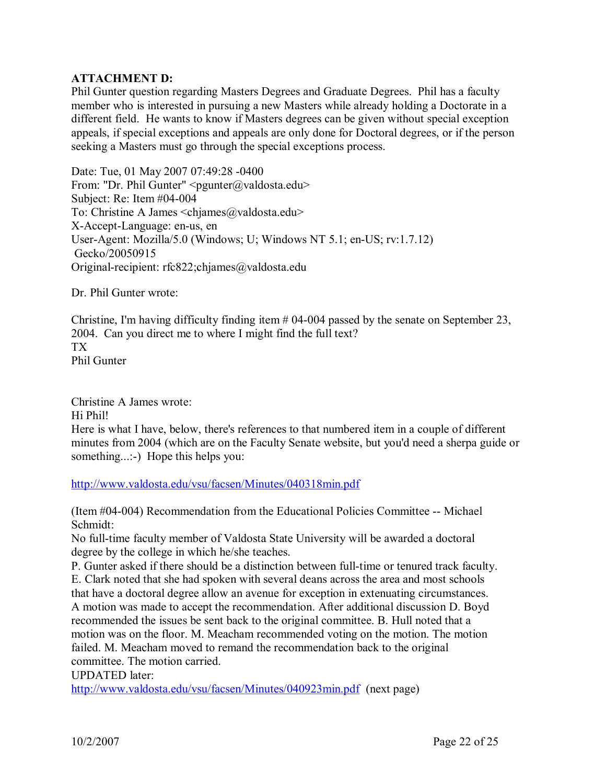# **ATTACHMENT D:**

Phil Gunter question regarding Masters Degrees and Graduate Degrees. Phil has a faculty member who is interested in pursuing a new Masters while already holding a Doctorate in a different field. He wants to know if Masters degrees can be given without special exception appeals, if special exceptions and appeals are only done for Doctoral degrees, or if the person seeking a Masters must go through the special exceptions process.

Date: Tue, 01 May 2007 07:49:28 -0400 From: "Dr. Phil Gunter"  $\leq$ pgunter@valdosta.edu> Subject: Re: Item #04-004 To: Christine A James <chjames@valdosta.edu> X-Accept-Language: en-us, en User-Agent: Mozilla/5.0 (Windows; U; Windows NT 5.1; en-US;  $rv:1.7.12$ ) Gecko/20050915 Original-recipient: rfc822;chjames@valdosta.edu

Dr. Phil Gunter wrote:

Christine, I'm having difficulty finding item  $\#04-004$  passed by the senate on September 23, 2004. Can you direct me to where I might find the full text? TX Phil Gunter

Christine A James wrote: Hi Phil! Here is what I have, below, there's references to that numbered item in a couple of different minutes from 2004 (which are on the Faculty Senate website, but you'd need a sherpa guide or something...:-) Hope this helps you:

<http://www.valdosta.edu/vsu/facsen/Minutes/040318min.pdf>

(Item  $\#04-004$ ) Recommendation from the Educational Policies Committee -- Michael Schmidt:

No full-time faculty member of Valdosta State University will be awarded a doctoral degree by the college in which he/she teaches.

P. Gunter asked if there should be a distinction between full-time or tenured track faculty.

E. Clark noted that she had spoken with several deans across the area and most schools that have a doctoral degree allow an avenue for exception in extenuating circumstances. A motion was made to accept the recommendation. After additional discussion D. Boyd recommended the issues be sent back to the original committee. B. Hull noted that a motion was on the floor. M. Meacham recommended voting on the motion. The motion failed. M. Meacham moved to remand the recommendation back to the original committee. The motion carried.

UPDATED later:

<http://www.valdosta.edu/vsu/facsen/Minutes/040923min.pdf> (next page)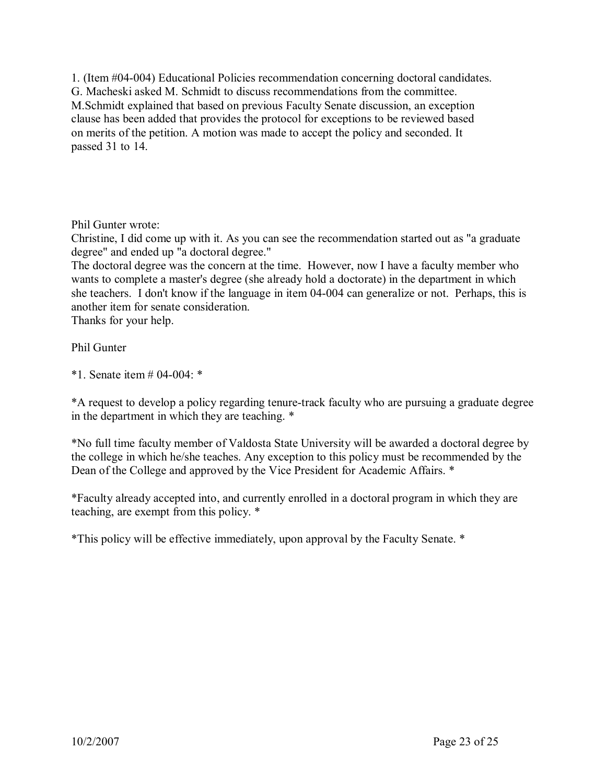1. (Item  $\#04-004$ ) Educational Policies recommendation concerning doctoral candidates. G. Macheski asked M. Schmidt to discuss recommendations from the committee. M.Schmidt explained that based on previous Faculty Senate discussion, an exception clause has been added that provides the protocol for exceptions to be reviewed based on merits of the petition. A motion was made to accept the policy and seconded. It passed 31 to 14.

Phil Gunter wrote:

Christine, I did come up with it. As you can see the recommendation started out as "a graduate degree" and ended up "a doctoral degree."

The doctoral degree was the concern at the time. However, now I have a faculty member who wants to complete a master's degree (she already hold a doctorate) in the department in which she teachers. I don't know if the language in item 04-004 can generalize or not. Perhaps, this is another item for senate consideration.

Thanks for your help.

# Phil Gunter

\*1. Senate item  $#04-004$ : \*

\*A request to develop a policy regarding tenure-track faculty who are pursuing a graduate degree in the department in which they are teaching. \*

\*No full time faculty member of Valdosta State University will be awarded a doctoral degree by the college in which he/she teaches. Any exception to this policy must be recommended by the Dean of the College and approved by the Vice President for Academic Affairs. \*

\*Faculty already accepted into, and currently enrolled in a doctoral program in which they are teaching, are exempt from this policy. \*

\*This policy will be effective immediately, upon approval by the Faculty Senate. \*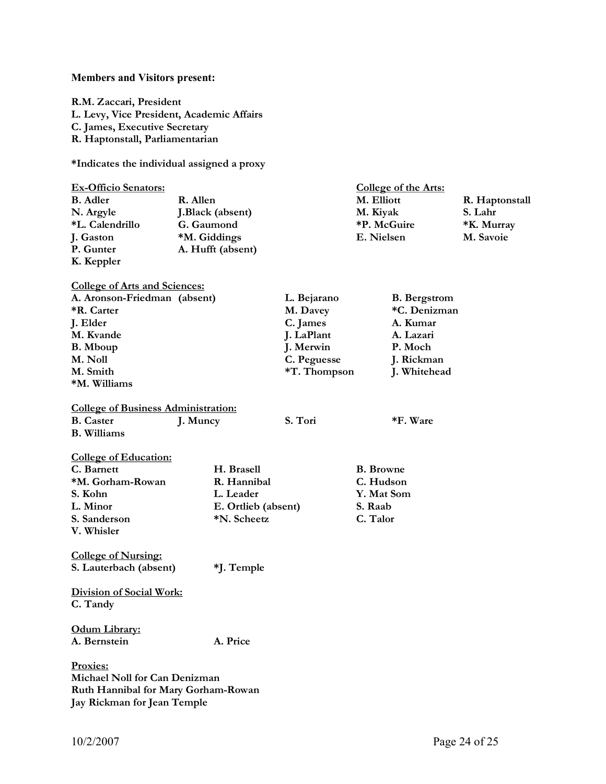#### **Members and Visitors present:**

**R.M. Zaccari, President L. Levy, Vice President, Academic Affairs C. James, Executive Secretary R. Haptonstall, Parliamentarian** 

**\*Indicates the individual assigned a proxy** 

| <b>Ex-Officio Senators:</b> |                   | College of the Arts: |                |  |
|-----------------------------|-------------------|----------------------|----------------|--|
| <b>B.</b> Adler             | R. Allen          | M. Elliott           | R. Haptonstall |  |
| N. Argyle                   | J.Black (absent)  | M. Kiyak             | S. Lahr        |  |
| *L. Calendrillo             | G. Gaumond        | *P. McGuire          | *K. Murray     |  |
| J. Gaston                   | *M. Giddings      | E. Nielsen           | M. Savoie      |  |
| P. Gunter                   | A. Hufft (absent) |                      |                |  |
| K. Keppler                  |                   |                      |                |  |

| A. Aronson-Friedman (absent) | L. Bejarano  | <b>B.</b> Bergstrom |
|------------------------------|--------------|---------------------|
| <b>*R.</b> Carter            | M. Davey     | *C. Denizman        |
| J. Elder                     | C. James     | A. Kumar            |
| M. Kvande                    | J. LaPlant   | A. Lazari           |
| <b>B.</b> Mboup              | J. Merwin    | P. Moch             |
| M. Noll                      | C. Peguesse  | J. Rickman          |
| M. Smith                     | *T. Thompson | J. Whitehead        |
| *M. Williams                 |              |                     |

# **College of Business Administration:**<br>**B.** Caster **I. Muncy**

**College of Arts and Sciences:** 

**B. Williams** 

**J. Muncy S. Tori** \*F. Ware

| <b>College of Education:</b> |                     |                  |
|------------------------------|---------------------|------------------|
| C. Barnett                   | H. Brasell          | <b>B.</b> Browne |
| *M. Gorham-Rowan             | R. Hannibal         | C. Hudson        |
| S. Kohn                      | L. Leader           | Y. Mat Som       |
| L. Minor                     | E. Ortlieb (absent) | S. Raab          |
| S. Sanderson                 | *N. Scheetz         | C. Talor         |
| V. Whisler                   |                     |                  |

**College of Nursing: S. Lauterbach (absent) \*J. Temple** 

**Division of Social Work: C. Tandy** 

**Odum Library: A. Bernstein A. Price** 

**Proxies: Michael Noll for Can Denizman Ruth Hannibal for Mary Gorham-Rowan Jay Rickman for Jean Temple**